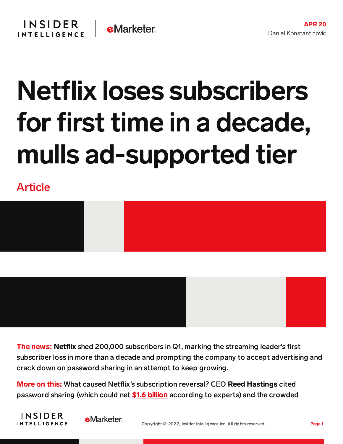## Netflix loses subscribers for first time in a decade, mulls ad-supported tier

Article





**The news: Netflix** shed 200,000 subscribers in Q1, marking the streaming leader's first subscriber loss in more than a decade and prompting the company to accept advertising and crack down on password sharing in an attempt to keep growing.

More on this: What caused Netflix's subscription reversal? CEO Reed Hastings cited password sharing (which could net \$1.6 [billion](https://content-na1.emarketer.com/netflix-password-sharing-could-net-platform-1-6-billion-crackdown-and-indirectly-lead-ad-supported-tier) according to experts) and the crowded



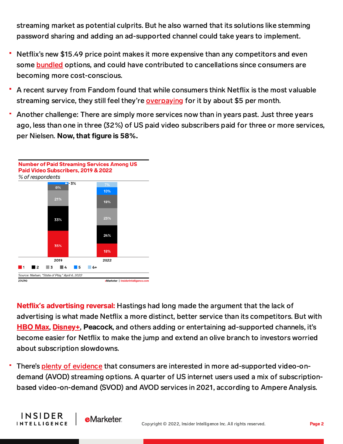streaming market as potential culprits. But he also warned that its solutions like stemming password sharing and adding an ad-supported channel could take years to implement.

- Netflix's new \$15.49 price point makes it more expensive than any competitors and even some [bundled](https://content-na2.emarketer.com/over-half-of-consumers-want-streaming-bundle-option) options, and could have contributed to cancellations since consumers are becoming more cost-conscious.
- A recent survey from Fandom found that while consumers think Netflix is the most valuable streaming service, they still feel they're **[overpaying](https://content-na1.emarketer.com/consumers-feel-they-re-overpaying-streaming-services)** for it by about \$5 per month.
- Another challenge: There are simply more services now than in years past. Just three years ago, less than one in three (32%) of US paid video subscribers paid for three or more services, per Nielsen. Now, that figure is 58%.



**e**Marketer

**INSIDER** 

**INTELLIGENCE** 

**Netflix's advertising reversal:** Hastings had long made the argument that the lack of advertising is what made Netflix a more distinct, better service than its competitors. But with [HBO](https://content-na1.emarketer.com/warnermedia-debuts-ad-supported-hbo-max) Max, [Disney+](https://content-na1.emarketer.com/disney-set-offer-ad-supported-tier-combat-netflix), Peacock, and others adding or entertaining ad-supported channels, it's become easier for Netflix to make the jump and extend an olive branch to investors worried about subscription slowdowns.

There's plenty of [evidence](https://content-na2.emarketer.com/tubi-highlights-promising-growth-ad-supported-digital-video) that consumers are interested in more ad-supported video-ondemand (AVOD) streaming options. A quarter of US internet users used a mix of subscriptionbased video-on-demand (SVOD) and AVOD services in 2021, according to Ampere Analysis.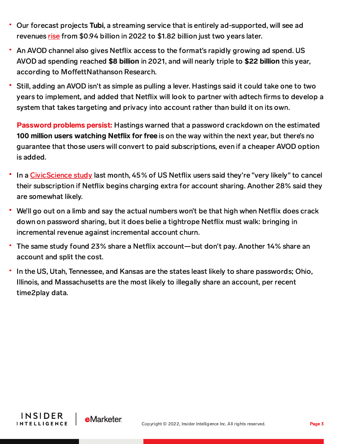- Our forecast projects Tubi, a streaming service that is entirely ad-supported, will see ad revenues [rise](https://forecasts-na1.emarketer.com/603d4414293d05035c94b640/6054dcc1d6480d089c603b4c) from \$0.94 billion in 2022 to \$1.82 billion just two years later.
- An AVOD channel also gives Netflix access to the format's rapidly growing ad spend. US AVOD ad spending reached \$8 billion in 2021, and will nearly triple to \$22 billion this year, according to MoffettNathanson Research.
- Still, adding an AVOD isn't as simple as pulling a lever. Hastings said it could take one to two years to implement, and added that Netflix will look to partner with adtech firms to develop a system that takes targeting and privacy into account rather than build it on its own.

Password problems persist: Hastings warned that a password crackdown on the estimated 100 million users watching Netflix for free is on the way within the next year, but there's no guarantee that those users will convert to paid subscriptions, even if a cheaper AVOD option is added.

- In a [CivicScience](https://chart-na1.emarketer.com/255389/how-likely-us-netflix-users-cancel-their-subscription-netflix-begins-charging-extra-account-sharing-of-respondents-march-2022) study last month, 45% of US Netflix users said they're "very likely" to cancel their subscription if Netflix begins charging extra for account sharing. Another 28% said they are somewhat likely.
- We'll go out on a limb and say the actual numbers won't be that high when Netflix does crack down on password sharing, but it does belie a tightrope Netflix must walk: bringing in incremental revenue against incremental account churn.
- The same study found 23% share a Netflix account—but don't pay. Another 14% share an account and split the cost.
- In the US, Utah, Tennessee, and Kansas are the states least likely to share passwords; Ohio, Illinois, and Massachusetts are the most likely to illegally share an account, per recent time2play data.



**eMarketer**